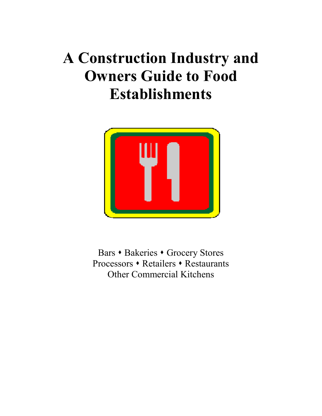# **A Construction Industry and Owners Guide to Food Establishments**



Bars • Bakeries • Grocery Stores Processors • Retailers • Restaurants Other Commercial Kitchens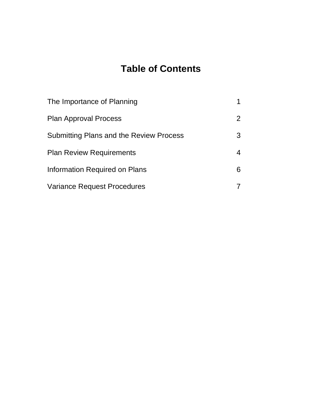# **Table of Contents**

| The Importance of Planning                     |                |
|------------------------------------------------|----------------|
| <b>Plan Approval Process</b>                   | $\overline{2}$ |
| <b>Submitting Plans and the Review Process</b> | 3              |
| <b>Plan Review Requirements</b>                |                |
| Information Required on Plans                  | 6              |
| <b>Variance Request Procedures</b>             |                |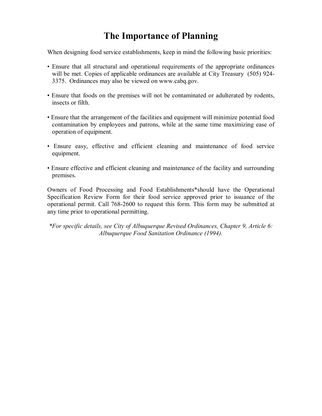# **The Importance of Planning**

When designing food service establishments, keep in mind the following basic priorities:

- Ensure that all structural and operational requirements of the appropriate ordinances will be met. Copies of applicable ordinances are available at City Treasury (505) 924-3375. Ordinances may also be viewed on www.cabq.gov.
- Ensure that foods on the premises will not be contaminated or adulterated by rodents, insects or filth.
- Ensure that the arrangement of the facilities and equipment will minimize potential food contamination by employees and patrons, while at the same time maximizing ease of operation of equipment.
- Ensure easy, effective and efficient cleaning and maintenance of food service equipment.
- Ensure effective and efficient cleaning and maintenance of the facility and surrounding premises.

Owners of Food Processing and Food Establishments\*should have the Operational Specification Review Form for their food service approved prior to issuance of the operational permit. Call 768-2600 to request this form. This form may be submitted at any time prior to operational permitting.

*\*For specific details, see City of Albuquerque Revised Ordinances, Chapter 9, Article 6: Albuquerque Food Sanitation Ordinance (1994).*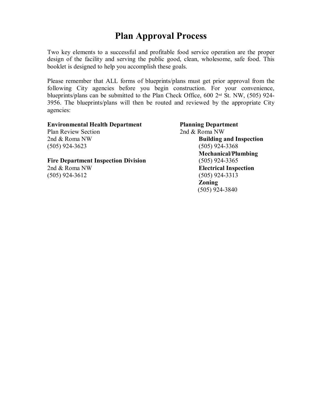# **Plan Approval Process**

Two key elements to a successful and profitable food service operation are the proper design of the facility and serving the public good, clean, wholesome, safe food. This booklet is designed to help you accomplish these goals.

Please remember that ALL forms of blueprints/plans must get prior approval from the following City agencies before you begin construction. For your convenience, blueprints/plans can be submitted to the Plan Check Office, 600 2<sup>nd</sup> St. NW, (505) 924-3956. The blueprints/plans will then be routed and reviewed by the appropriate City agencies:

| <b>Planning Department</b>     |
|--------------------------------|
| 2nd & Roma NW                  |
| <b>Building and Inspection</b> |
| $(505)$ 924-3368               |
| <b>Mechanical/Plumbing</b>     |
| $(505)$ 924-3365               |
| <b>Electrical Inspection</b>   |
| $(505)$ 924-3313               |
| <b>Zoning</b>                  |
| $(505)$ 924-3840               |
|                                |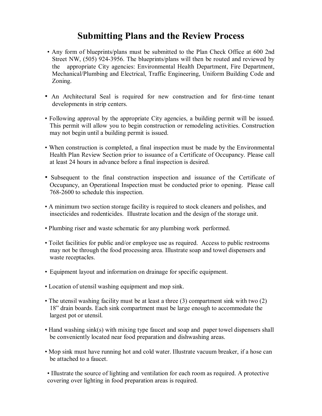# **Submitting Plans and the Review Process**

- ï Any form of blueprints/plans must be submitted to the Plan Check Office at 600 2nd Street NW, (505) 924-3956. The blueprints/plans will then be routed and reviewed by the appropriate City agencies: Environmental Health Department, Fire Department, Mechanical/Plumbing and Electrical, Traffic Engineering, Uniform Building Code and Zoning.
- An Architectural Seal is required for new construction and for first-time tenant developments in strip centers.
- ï Following approval by the appropriate City agencies, a building permit will be issued. This permit will allow you to begin construction or remodeling activities. Construction may not begin until a building permit is issued.
- When construction is completed, a final inspection must be made by the Environmental Health Plan Review Section prior to issuance of a Certificate of Occupancy. Please call at least 24 hours in advance before a final inspection is desired.
- Subsequent to the final construction inspection and issuance of the Certificate of Occupancy, an Operational Inspection must be conducted prior to opening. Please call 768-2600 to schedule this inspection.
- A minimum two section storage facility is required to stock cleaners and polishes, and insecticides and rodenticides. Illustrate location and the design of the storage unit.
- Plumbing riser and waste schematic for any plumbing work performed.
- Toilet facilities for public and/or employee use as required. Access to public restrooms may not be through the food processing area. Illustrate soap and towel dispensers and waste receptacles.
- ï Equipment layout and information on drainage for specific equipment.
- Location of utensil washing equipment and mop sink.
- The utensil washing facility must be at least a three (3) compartment sink with two (2) 18î drain boards. Each sink compartment must be large enough to accommodate the largest pot or utensil.
- Hand washing sink(s) with mixing type faucet and soap and paper towel dispensers shall be conveniently located near food preparation and dishwashing areas.
- Mop sink must have running hot and cold water. Illustrate vacuum breaker, if a hose can be attached to a faucet.

ï Illustrate the source of lighting and ventilation for each room as required. A protective covering over lighting in food preparation areas is required.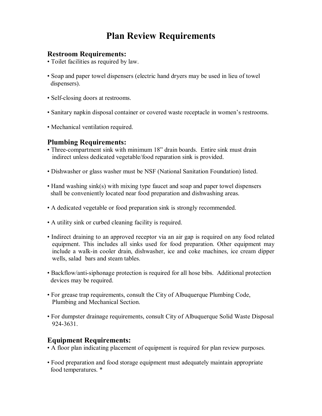# **Plan Review Requirements**

#### **Restroom Requirements:**

- Toilet facilities as required by law.
- Soap and paper towel dispensers (electric hand dryers may be used in lieu of towel dispensers).
- Self-closing doors at restrooms.
- Sanitary napkin disposal container or covered waste receptacle in women's restrooms.
- Mechanical ventilation required.

#### **Plumbing Requirements:**

- Three-compartment sink with minimum 18" drain boards. Entire sink must drain indirect unless dedicated vegetable/food reparation sink is provided.
- Dishwasher or glass washer must be NSF (National Sanitation Foundation) listed.
- Hand washing sink(s) with mixing type faucet and soap and paper towel dispensers shall be conveniently located near food preparation and dishwashing areas.
- ï A dedicated vegetable or food preparation sink is strongly recommended.
- ï A utility sink or curbed cleaning facility is required.
- Indirect draining to an approved receptor via an air gap is required on any food related equipment. This includes all sinks used for food preparation. Other equipment may include a walk-in cooler drain, dishwasher, ice and coke machines, ice cream dipper wells, salad bars and steam tables.
- Backflow/anti-siphonage protection is required for all hose bibs. Additional protection devices may be required.
- For grease trap requirements, consult the City of Albuquerque Plumbing Code, Plumbing and Mechanical Section.
- For dumpster drainage requirements, consult City of Albuquerque Solid Waste Disposal 924-3631.

#### **Equipment Requirements:**

- A floor plan indicating placement of equipment is required for plan review purposes.
- ï Food preparation and food storage equipment must adequately maintain appropriate food temperatures. \*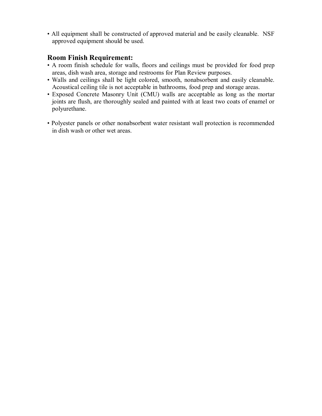• All equipment shall be constructed of approved material and be easily cleanable. NSF approved equipment should be used.

#### **Room Finish Requirement:**

- ï A room finish schedule for walls, floors and ceilings must be provided for food prep areas, dish wash area, storage and restrooms for Plan Review purposes.
- ï Walls and ceilings shall be light colored, smooth, nonabsorbent and easily cleanable. Acoustical ceiling tile is not acceptable in bathrooms, food prep and storage areas.
- ï Exposed Concrete Masonry Unit (CMU) walls are acceptable as long as the mortar joints are flush, are thoroughly sealed and painted with at least two coats of enamel or polyurethane.
- ï Polyester panels or other nonabsorbent water resistant wall protection is recommended in dish wash or other wet areas.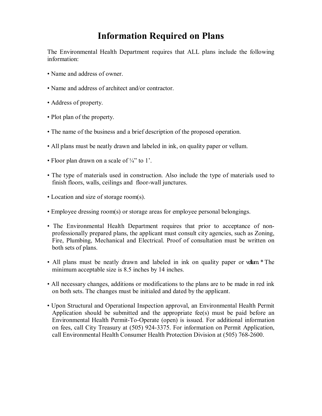# **Information Required on Plans**

The Environmental Health Department requires that ALL plans include the following information:

- Name and address of owner.
- Name and address of architect and/or contractor.
- Address of property.
- Plot plan of the property.
- The name of the business and a brief description of the proposed operation.
- All plans must be neatly drawn and labeled in ink, on quality paper or vellum.
- Floor plan drawn on a scale of  $\frac{1}{4}$  to 1.
- The type of materials used in construction. Also include the type of materials used to finish floors, walls, ceilings and floor-wall junctures.
- Location and size of storage room(s).
- Employee dressing room(s) or storage areas for employee personal belongings.
- The Environmental Health Department requires that prior to acceptance of nonprofessionally prepared plans, the applicant must consult city agencies, such as Zoning, Fire, Plumbing, Mechanical and Electrical. Proof of consultation must be written on both sets of plans.
- All plans must be neatly drawn and labeled in ink on quality paper or vellum. \* The minimum acceptable size is 8.5 inches by 14 inches.
- All necessary changes, additions or modifications to the plans are to be made in red ink on both sets. The changes must be initialed and dated by the applicant.
- Upon Structural and Operational Inspection approval, an Environmental Health Permit Application should be submitted and the appropriate fee(s) must be paid before an Environmental Health Permit-To-Operate (open) is issued. For additional information on fees, call City Treasury at (505) 924-3375. For information on Permit Application, call Environmental Health Consumer Health Protection Division at (505) 768-2600.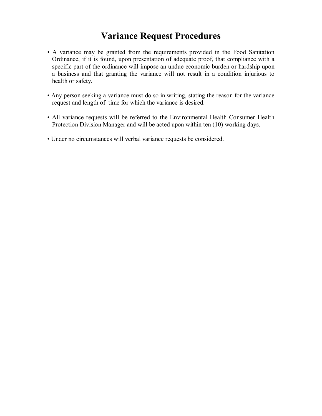# **Variance Request Procedures**

- ï A variance may be granted from the requirements provided in the Food Sanitation Ordinance, if it is found, upon presentation of adequate proof, that compliance with a specific part of the ordinance will impose an undue economic burden or hardship upon a business and that granting the variance will not result in a condition injurious to health or safety.
- ï Any person seeking a variance must do so in writing, stating the reason for the variance request and length of time for which the variance is desired.
- ï All variance requests will be referred to the Environmental Health Consumer Health Protection Division Manager and will be acted upon within ten (10) working days.
- ï Under no circumstances will verbal variance requests be considered.